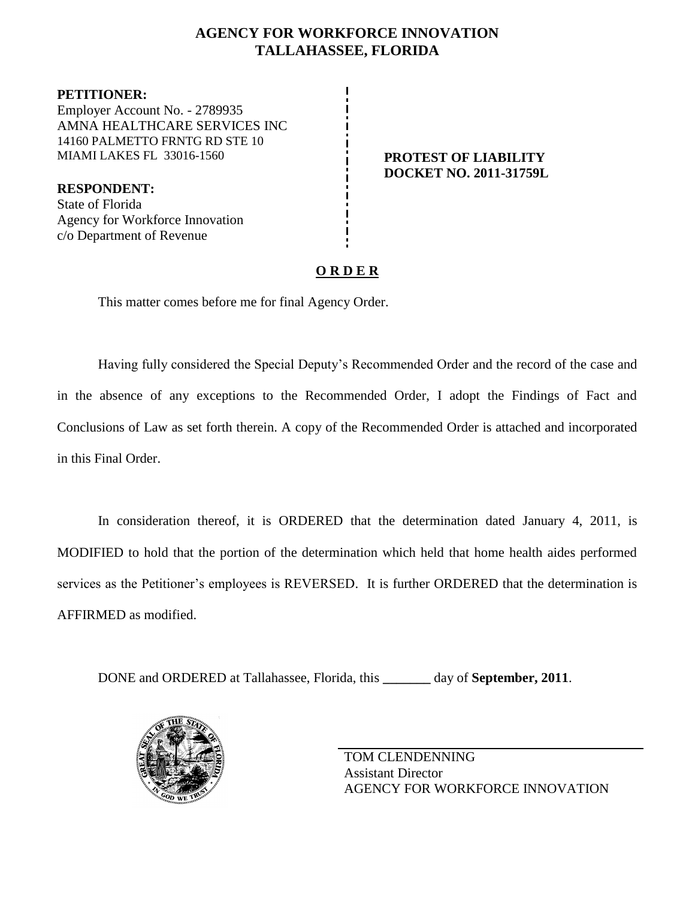## **AGENCY FOR WORKFORCE INNOVATION TALLAHASSEE, FLORIDA**

**PETITIONER:** Employer Account No. - 2789935 AMNA HEALTHCARE SERVICES INC 14160 PALMETTO FRNTG RD STE 10 MIAMI LAKES FL 33016-1560 **PROTEST OF LIABILITY**

**RESPONDENT:** State of Florida Agency for Workforce Innovation c/o Department of Revenue

# **DOCKET NO. 2011-31759L**

## **O R D E R**

This matter comes before me for final Agency Order.

Having fully considered the Special Deputy's Recommended Order and the record of the case and in the absence of any exceptions to the Recommended Order, I adopt the Findings of Fact and Conclusions of Law as set forth therein. A copy of the Recommended Order is attached and incorporated in this Final Order.

In consideration thereof, it is ORDERED that the determination dated January 4, 2011, is MODIFIED to hold that the portion of the determination which held that home health aides performed services as the Petitioner's employees is REVERSED. It is further ORDERED that the determination is AFFIRMED as modified.

DONE and ORDERED at Tallahassee, Florida, this **\_\_\_\_\_\_\_** day of **September, 2011**.



TOM CLENDENNING Assistant Director AGENCY FOR WORKFORCE INNOVATION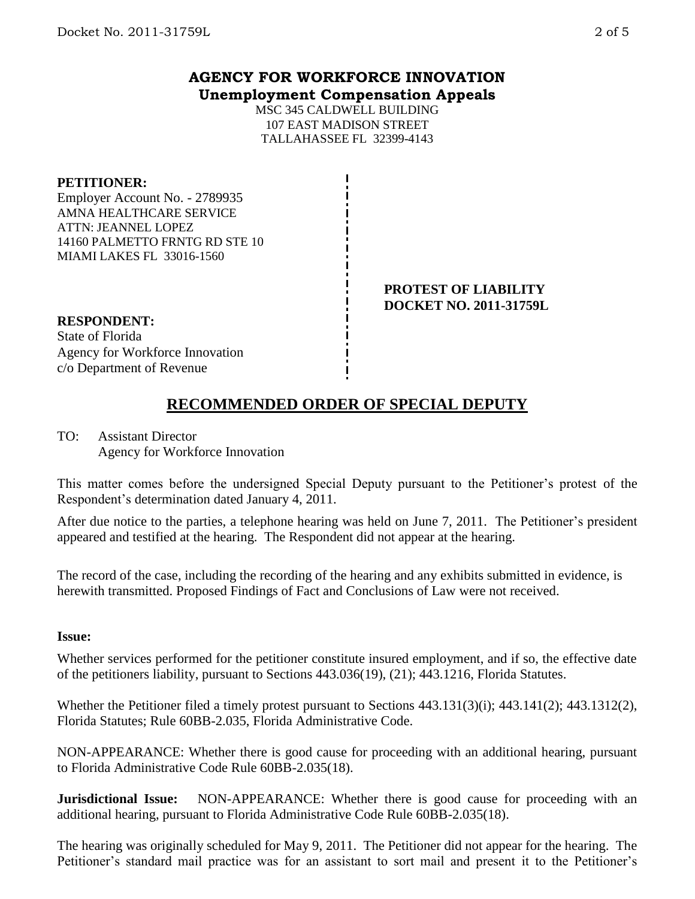### **AGENCY FOR WORKFORCE INNOVATION Unemployment Compensation Appeals**

MSC 345 CALDWELL BUILDING 107 EAST MADISON STREET TALLAHASSEE FL 32399-4143

#### **PETITIONER:**

Employer Account No. - 2789935 AMNA HEALTHCARE SERVICE ATTN: JEANNEL LOPEZ 14160 PALMETTO FRNTG RD STE 10 MIAMI LAKES FL 33016-1560

#### **PROTEST OF LIABILITY DOCKET NO. 2011-31759L**

## **RESPONDENT:**

State of Florida Agency for Workforce Innovation c/o Department of Revenue

## **RECOMMENDED ORDER OF SPECIAL DEPUTY**

TO: Assistant Director Agency for Workforce Innovation

This matter comes before the undersigned Special Deputy pursuant to the Petitioner's protest of the Respondent's determination dated January 4, 2011.

After due notice to the parties, a telephone hearing was held on June 7, 2011. The Petitioner's president appeared and testified at the hearing. The Respondent did not appear at the hearing.

The record of the case, including the recording of the hearing and any exhibits submitted in evidence, is herewith transmitted. Proposed Findings of Fact and Conclusions of Law were not received.

#### **Issue:**

Whether services performed for the petitioner constitute insured employment, and if so, the effective date of the petitioners liability, pursuant to Sections 443.036(19), (21); 443.1216, Florida Statutes.

Whether the Petitioner filed a timely protest pursuant to Sections 443.131(3)(i); 443.141(2); 443.1312(2), Florida Statutes; Rule 60BB-2.035, Florida Administrative Code.

NON-APPEARANCE: Whether there is good cause for proceeding with an additional hearing, pursuant to Florida Administrative Code Rule 60BB-2.035(18).

**Jurisdictional Issue:** NON-APPEARANCE: Whether there is good cause for proceeding with an additional hearing, pursuant to Florida Administrative Code Rule 60BB-2.035(18).

The hearing was originally scheduled for May 9, 2011. The Petitioner did not appear for the hearing. The Petitioner's standard mail practice was for an assistant to sort mail and present it to the Petitioner's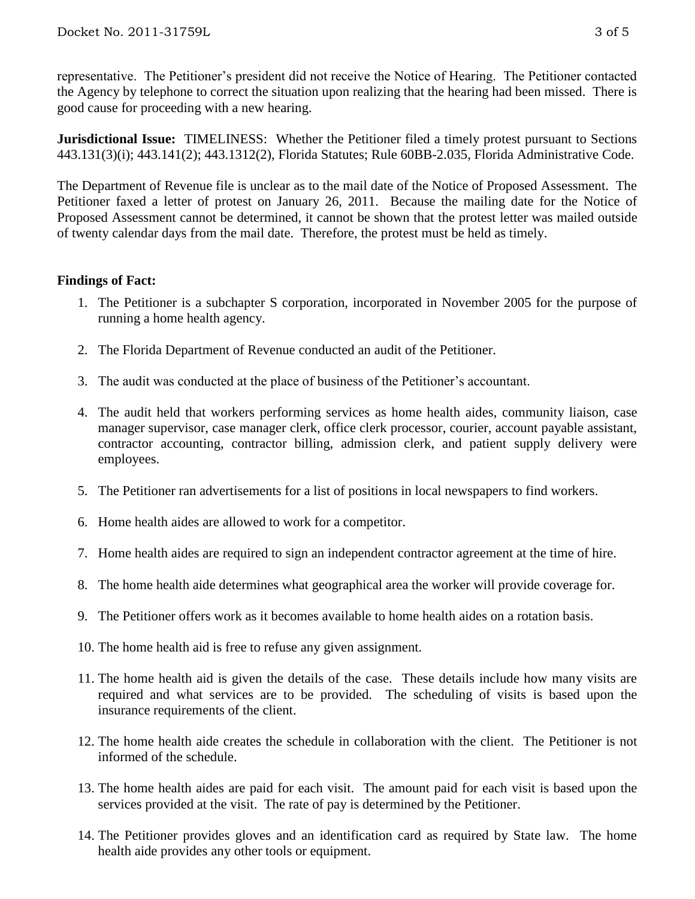representative. The Petitioner's president did not receive the Notice of Hearing. The Petitioner contacted the Agency by telephone to correct the situation upon realizing that the hearing had been missed. There is good cause for proceeding with a new hearing.

**Jurisdictional Issue:** TIMELINESS: Whether the Petitioner filed a timely protest pursuant to Sections 443.131(3)(i); 443.141(2); 443.1312(2), Florida Statutes; Rule 60BB-2.035, Florida Administrative Code.

The Department of Revenue file is unclear as to the mail date of the Notice of Proposed Assessment. The Petitioner faxed a letter of protest on January 26, 2011. Because the mailing date for the Notice of Proposed Assessment cannot be determined, it cannot be shown that the protest letter was mailed outside of twenty calendar days from the mail date. Therefore, the protest must be held as timely.

#### **Findings of Fact:**

- 1. The Petitioner is a subchapter S corporation, incorporated in November 2005 for the purpose of running a home health agency.
- 2. The Florida Department of Revenue conducted an audit of the Petitioner.
- 3. The audit was conducted at the place of business of the Petitioner's accountant.
- 4. The audit held that workers performing services as home health aides, community liaison, case manager supervisor, case manager clerk, office clerk processor, courier, account payable assistant, contractor accounting, contractor billing, admission clerk, and patient supply delivery were employees.
- 5. The Petitioner ran advertisements for a list of positions in local newspapers to find workers.
- 6. Home health aides are allowed to work for a competitor.
- 7. Home health aides are required to sign an independent contractor agreement at the time of hire.
- 8. The home health aide determines what geographical area the worker will provide coverage for.
- 9. The Petitioner offers work as it becomes available to home health aides on a rotation basis.
- 10. The home health aid is free to refuse any given assignment.
- 11. The home health aid is given the details of the case. These details include how many visits are required and what services are to be provided. The scheduling of visits is based upon the insurance requirements of the client.
- 12. The home health aide creates the schedule in collaboration with the client. The Petitioner is not informed of the schedule.
- 13. The home health aides are paid for each visit. The amount paid for each visit is based upon the services provided at the visit. The rate of pay is determined by the Petitioner.
- 14. The Petitioner provides gloves and an identification card as required by State law. The home health aide provides any other tools or equipment.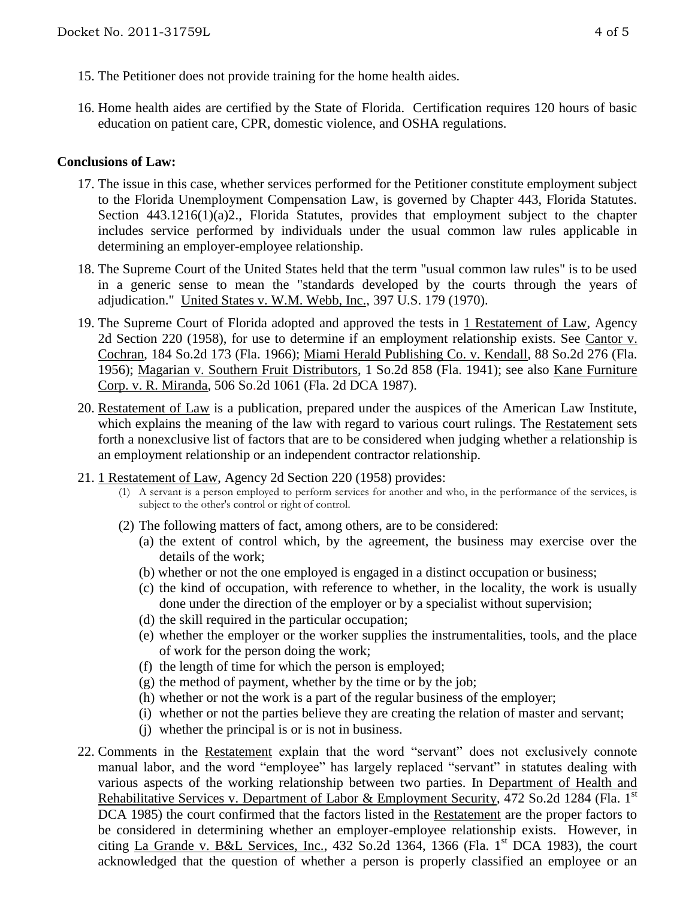- 15. The Petitioner does not provide training for the home health aides.
- 16. Home health aides are certified by the State of Florida. Certification requires 120 hours of basic education on patient care, CPR, domestic violence, and OSHA regulations.

#### **Conclusions of Law:**

- 17. The issue in this case, whether services performed for the Petitioner constitute employment subject to the Florida Unemployment Compensation Law, is governed by Chapter 443, Florida Statutes. Section 443.1216(1)(a)2., Florida Statutes, provides that employment subject to the chapter includes service performed by individuals under the usual common law rules applicable in determining an employer-employee relationship.
- 18. The Supreme Court of the United States held that the term "usual common law rules" is to be used in a generic sense to mean the "standards developed by the courts through the years of adjudication." United States v. W.M. Webb, Inc., 397 U.S. 179 (1970).
- 19. The Supreme Court of Florida adopted and approved the tests in 1 Restatement of Law, Agency 2d Section 220 (1958), for use to determine if an employment relationship exists. See Cantor v. Cochran, 184 So.2d 173 (Fla. 1966); Miami Herald Publishing Co. v. Kendall, 88 So.2d 276 (Fla. 1956); Magarian v. Southern Fruit Distributors, 1 So.2d 858 (Fla. 1941); see also Kane Furniture Corp. v. R. Miranda, 506 So.2d 1061 (Fla. 2d DCA 1987).
- 20. Restatement of Law is a publication, prepared under the auspices of the American Law Institute, which explains the meaning of the law with regard to various court rulings. The Restatement sets forth a nonexclusive list of factors that are to be considered when judging whether a relationship is an employment relationship or an independent contractor relationship.
- 21. 1 Restatement of Law, Agency 2d Section 220 (1958) provides:
	- (1) A servant is a person employed to perform services for another and who, in the performance of the services, is subject to the other's control or right of control.
	- (2) The following matters of fact, among others, are to be considered:
		- (a) the extent of control which, by the agreement, the business may exercise over the details of the work;
		- (b) whether or not the one employed is engaged in a distinct occupation or business;
		- (c) the kind of occupation, with reference to whether, in the locality, the work is usually done under the direction of the employer or by a specialist without supervision;
		- (d) the skill required in the particular occupation;
		- (e) whether the employer or the worker supplies the instrumentalities, tools, and the place of work for the person doing the work;
		- (f) the length of time for which the person is employed;
		- $(g)$  the method of payment, whether by the time or by the job;
		- (h) whether or not the work is a part of the regular business of the employer;
		- (i) whether or not the parties believe they are creating the relation of master and servant;
		- (j) whether the principal is or is not in business.
- 22. Comments in the Restatement explain that the word "servant" does not exclusively connote manual labor, and the word "employee" has largely replaced "servant" in statutes dealing with various aspects of the working relationship between two parties. In Department of Health and Rehabilitative Services v. Department of Labor & Employment Security, 472 So.2d 1284 (Fla. 1<sup>st</sup>) DCA 1985) the court confirmed that the factors listed in the Restatement are the proper factors to be considered in determining whether an employer-employee relationship exists. However, in citing La Grande v. B&L Services, Inc.,  $432$  So.2d  $1364$ ,  $1366$  (Fla. 1<sup>st</sup> DCA 1983), the court acknowledged that the question of whether a person is properly classified an employee or an